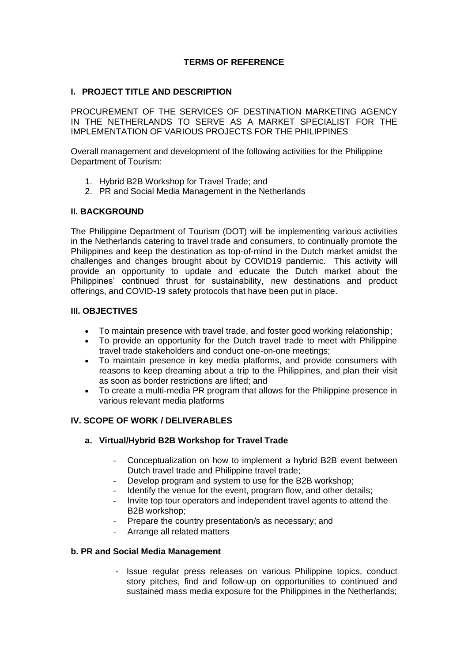# **TERMS OF REFERENCE**

## **I. PROJECT TITLE AND DESCRIPTION**

PROCUREMENT OF THE SERVICES OF DESTINATION MARKETING AGENCY IN THE NETHERLANDS TO SERVE AS A MARKET SPECIALIST FOR THE IMPLEMENTATION OF VARIOUS PROJECTS FOR THE PHILIPPINES

Overall management and development of the following activities for the Philippine Department of Tourism:

- 1. Hybrid B2B Workshop for Travel Trade; and
- 2. PR and Social Media Management in the Netherlands

### **II. BACKGROUND**

The Philippine Department of Tourism (DOT) will be implementing various activities in the Netherlands catering to travel trade and consumers, to continually promote the Philippines and keep the destination as top-of-mind in the Dutch market amidst the challenges and changes brought about by COVID19 pandemic. This activity will provide an opportunity to update and educate the Dutch market about the Philippines' continued thrust for sustainability, new destinations and product offerings, and COVID-19 safety protocols that have been put in place.

### **III. OBJECTIVES**

- To maintain presence with travel trade, and foster good working relationship;
- To provide an opportunity for the Dutch travel trade to meet with Philippine travel trade stakeholders and conduct one-on-one meetings;
- To maintain presence in key media platforms, and provide consumers with reasons to keep dreaming about a trip to the Philippines, and plan their visit as soon as border restrictions are lifted; and
- To create a multi-media PR program that allows for the Philippine presence in various relevant media platforms

## **IV. SCOPE OF WORK / DELIVERABLES**

## **a. Virtual/Hybrid B2B Workshop for Travel Trade**

- Conceptualization on how to implement a hybrid B2B event between Dutch travel trade and Philippine travel trade;
- Develop program and system to use for the B2B workshop;
- Identify the venue for the event, program flow, and other details;
- Invite top tour operators and independent travel agents to attend the B2B workshop;
- Prepare the country presentation/s as necessary; and
- Arrange all related matters

#### **b. PR and Social Media Management**

- Issue regular press releases on various Philippine topics, conduct story pitches, find and follow-up on opportunities to continued and sustained mass media exposure for the Philippines in the Netherlands;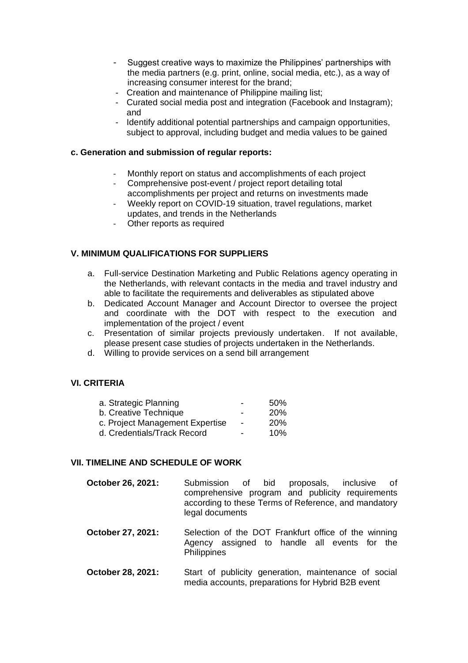- Suggest creative ways to maximize the Philippines' partnerships with the media partners (e.g. print, online, social media, etc.), as a way of increasing consumer interest for the brand;
- Creation and maintenance of Philippine mailing list;
- Curated social media post and integration (Facebook and Instagram); and
- Identify additional potential partnerships and campaign opportunities, subject to approval, including budget and media values to be gained

### **c. Generation and submission of regular reports:**

- Monthly report on status and accomplishments of each project
- Comprehensive post-event / project report detailing total accomplishments per project and returns on investments made
- Weekly report on COVID-19 situation, travel regulations, market updates, and trends in the Netherlands
- Other reports as required

## **V. MINIMUM QUALIFICATIONS FOR SUPPLIERS**

- a. Full-service Destination Marketing and Public Relations agency operating in the Netherlands, with relevant contacts in the media and travel industry and able to facilitate the requirements and deliverables as stipulated above
- b. Dedicated Account Manager and Account Director to oversee the project and coordinate with the DOT with respect to the execution and implementation of the project / event
- c. Presentation of similar projects previously undertaken. If not available, please present case studies of projects undertaken in the Netherlands.
- d. Willing to provide services on a send bill arrangement

#### **VI. CRITERIA**

| a. Strategic Planning           |                          | 50%        |
|---------------------------------|--------------------------|------------|
| b. Creative Technique           | -                        | <b>20%</b> |
| c. Project Management Expertise | $\overline{\phantom{a}}$ | <b>20%</b> |
| d. Credentials/Track Record     | $\overline{\phantom{0}}$ | 10%        |

### **VII. TIMELINE AND SCHEDULE OF WORK**

- **October 26, 2021:** Submission of bid proposals, inclusive of comprehensive program and publicity requirements according to these Terms of Reference, and mandatory legal documents
- **October 27, 2021:** Selection of the DOT Frankfurt office of the winning Agency assigned to handle all events for the **Philippines**
- **October 28, 2021:** Start of publicity generation, maintenance of social media accounts, preparations for Hybrid B2B event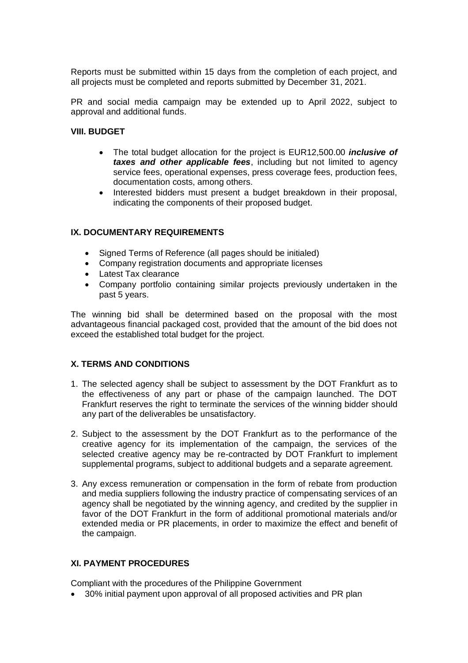Reports must be submitted within 15 days from the completion of each project, and all projects must be completed and reports submitted by December 31, 2021.

PR and social media campaign may be extended up to April 2022, subject to approval and additional funds.

### **VIII. BUDGET**

- The total budget allocation for the project is EUR12,500.00 *inclusive of taxes and other applicable fees*, including but not limited to agency service fees, operational expenses, press coverage fees, production fees, documentation costs, among others.
- Interested bidders must present a budget breakdown in their proposal, indicating the components of their proposed budget.

## **IX. DOCUMENTARY REQUIREMENTS**

- Signed Terms of Reference (all pages should be initialed)
- Company registration documents and appropriate licenses
- Latest Tax clearance
- Company portfolio containing similar projects previously undertaken in the past 5 years.

The winning bid shall be determined based on the proposal with the most advantageous financial packaged cost, provided that the amount of the bid does not exceed the established total budget for the project.

## **X. TERMS AND CONDITIONS**

- 1. The selected agency shall be subject to assessment by the DOT Frankfurt as to the effectiveness of any part or phase of the campaign launched. The DOT Frankfurt reserves the right to terminate the services of the winning bidder should any part of the deliverables be unsatisfactory.
- 2. Subject to the assessment by the DOT Frankfurt as to the performance of the creative agency for its implementation of the campaign, the services of the selected creative agency may be re-contracted by DOT Frankfurt to implement supplemental programs, subject to additional budgets and a separate agreement.
- 3. Any excess remuneration or compensation in the form of rebate from production and media suppliers following the industry practice of compensating services of an agency shall be negotiated by the winning agency, and credited by the supplier in favor of the DOT Frankfurt in the form of additional promotional materials and/or extended media or PR placements, in order to maximize the effect and benefit of the campaign.

# **XI. PAYMENT PROCEDURES**

Compliant with the procedures of the Philippine Government

• 30% initial payment upon approval of all proposed activities and PR plan